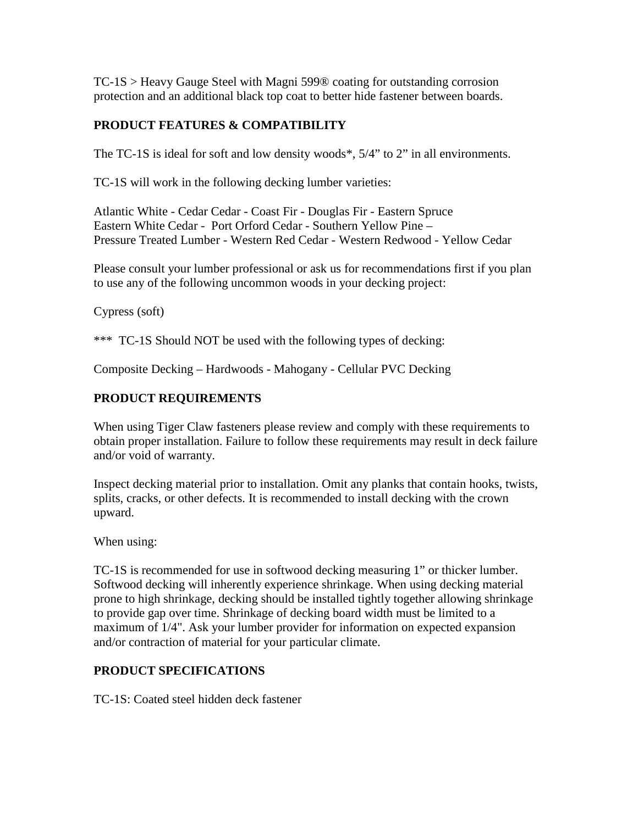TC-1S > Heavy Gauge Steel with Magni 599® coating for outstanding corrosion protection and an additional black top coat to better hide fastener between boards.

## **PRODUCT FEATURES & COMPATIBILITY**

The TC-1S is ideal for soft and low density woods\*, 5/4" to 2" in all environments.

TC-1S will work in the following decking lumber varieties:

Atlantic White - Cedar Cedar - Coast Fir - Douglas Fir - Eastern Spruce Eastern White Cedar - Port Orford Cedar - Southern Yellow Pine – Pressure Treated Lumber - Western Red Cedar - Western Redwood - Yellow Cedar

Please consult your lumber professional or ask us for recommendations first if you plan to use any of the following uncommon woods in your decking project:

Cypress (soft)

\*\*\* TC-1S Should NOT be used with the following types of decking:

Composite Decking – Hardwoods - Mahogany - Cellular PVC Decking

## **PRODUCT REQUIREMENTS**

When using Tiger Claw fasteners please review and comply with these requirements to obtain proper installation. Failure to follow these requirements may result in deck failure and/or void of warranty.

Inspect decking material prior to installation. Omit any planks that contain hooks, twists, splits, cracks, or other defects. It is recommended to install decking with the crown upward.

When using:

TC-1S is recommended for use in softwood decking measuring 1" or thicker lumber. Softwood decking will inherently experience shrinkage. When using decking material prone to high shrinkage, decking should be installed tightly together allowing shrinkage to provide gap over time. Shrinkage of decking board width must be limited to a maximum of 1/4". Ask your lumber provider for information on expected expansion and/or contraction of material for your particular climate.

## **PRODUCT SPECIFICATIONS**

TC-1S: Coated steel hidden deck fastener